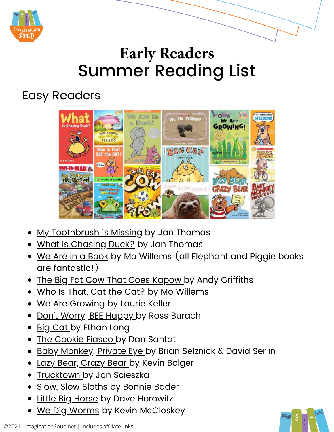

# **Early Readers**  Summer Reading List

### Easy Readers



- [My Toothbrush is Missing](https://amzn.to/2GKwUD1) [b](http://www.amazon.com/gp/product/0803741715/ref=as_li_tl?ie=UTF8&camp=1789&creative=390957&creativeASIN=0803741715&linkCode=as2&tag=melitaylonli-20&linkId=LPWZKMEOO6A7IMHR)y Jan Thomas
- [What is Chasing Duck?](http://amzn.to/2pxMV5h) by Jan Thomas
- <u>[We Are in a Book](https://amzn.to/2JKJUsP)</u>by Mo Willems (all Elephant and Piggie books are fantastic!)
- [The Big Fat Cow That Goes Kapow](https://amzn.to/2rlVTSH) by Andy Griffiths
- [Who Is That, Cat the Cat? b](http://amzn.to/2pM1d3t)y Mo Willems
- [We Are Growing](http://amzn.to/2h2vL9X) by Laurie Keller
- [Don't Worry, BEE Happy](https://amzn.to/2sTPy5c) by Ross Burach
- [Big Cat](http://amzn.to/1rdhxGl) by Ethan Long
- [The Cookie Fiasco](http://amzn.to/2oVM8aq) by Dan Santat
- [Baby Monkey, Private Eye](https://amzn.to/2uZvH5s) by Brian Selznick & David Serlin
- **•** [Lazy Bear, Crazy Bear b](https://amzn.to/1USkCJo)y Kevin Bolger
- [Trucktown b](http://www.amazon.com/gp/product/1416941479/ref=as_li_tl?ie=UTF8&camp=1789&creative=390957&creativeASIN=1416941479&linkCode=as2&tag=melitaylonli-20&linkId=7YP7LYACTINGYIYY)y Jon Scieszka
- [Slow, Slow Sloths](http://amzn.to/2hN09nv) by Bonnie Bader
- **[Little Big Horse](http://www.amazon.com/gp/product/0545492149/ref=as_li_tl?ie=UTF8&camp=1789&creative=390957&creativeASIN=0545492149&linkCode=as2&tag=melitaylonli-20&linkId=S33DCPBP47IHSSPL) by Dave Horowitz**
- [We Dig Worms](http://amzn.to/2qmkO77) [b](http://www.amazon.com/gp/product/0803741715/ref=as_li_tl?ie=UTF8&camp=1789&creative=390957&creativeASIN=0803741715&linkCode=as2&tag=melitaylonli-20&linkId=LPWZKMEOO6A7IMHR)y Kevin McCloskey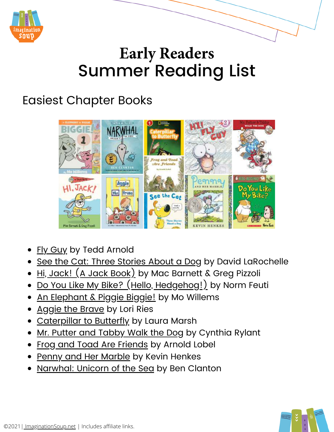

## **Early Readers** Summer Reading List

#### Easiest Chapter Books



- **[Fly Guy](https://amzn.to/2HfbjB7) by Tedd Arnold**
- [See the Cat: Three Stories About a Dog](https://amzn.to/2ZZKnP7) by David LaRochelle
- [Hi, Jack! \(A Jack Book\)](https://amzn.to/2X7QyRB) by Mac Barnett & Greg Pizzoli
- [Do You Like My Bike? \(Hello, Hedgehog!\)](https://amzn.to/2RzJ6sw) by Norm Feuti
- [An Elephant & Piggie Biggie!](https://amzn.to/2wUhCI9) by Mo Willems
- [Aggie the Brave](http://amzn.to/1YfukW2) by Lori Ries
- [Caterpillar to Butterfly](http://www.amazon.com/gp/product/1426309201/ref=as_li_tl?ie=UTF8&camp=1789&creative=390957&creativeASIN=1426309201&linkCode=as2&tag=melitaylonli-20&linkId=B3LPELUPMRTAT7V4) by Laura Marsh
- [Mr. Putter and Tabby Walk the Dog](http://amzn.to/25N6MxB) by Cynthia Rylant
- [Frog and Toad Are Friends](http://amzn.to/1PigQ4G) by Arnold Lobel
- [Penny and Her Marble](http://amzn.to/25N61EK) by Kevin Henkes
- [Narwhal: Unicorn of the Sea](http://amzn.to/2qteNVE) by Ben Clanton